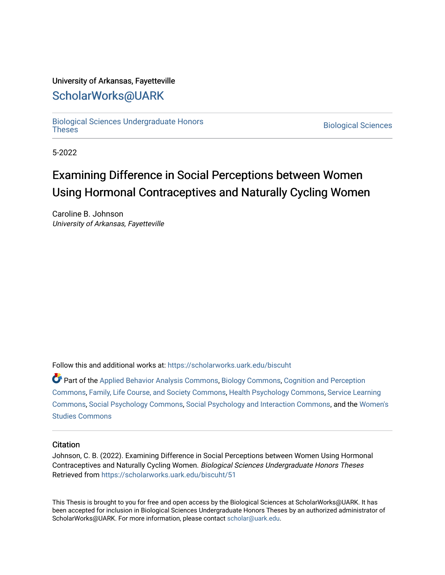#### University of Arkansas, Fayetteville

### [ScholarWorks@UARK](https://scholarworks.uark.edu/)

[Biological Sciences Undergraduate Honors](https://scholarworks.uark.edu/biscuht)

**Biological Sciences** 

5-2022

### Examining Difference in Social Perceptions between Women Using Hormonal Contraceptives and Naturally Cycling Women

Caroline B. Johnson University of Arkansas, Fayetteville

Follow this and additional works at: [https://scholarworks.uark.edu/biscuht](https://scholarworks.uark.edu/biscuht?utm_source=scholarworks.uark.edu%2Fbiscuht%2F51&utm_medium=PDF&utm_campaign=PDFCoverPages) 

Part of the [Applied Behavior Analysis Commons](http://network.bepress.com/hgg/discipline/1235?utm_source=scholarworks.uark.edu%2Fbiscuht%2F51&utm_medium=PDF&utm_campaign=PDFCoverPages), [Biology Commons](http://network.bepress.com/hgg/discipline/41?utm_source=scholarworks.uark.edu%2Fbiscuht%2F51&utm_medium=PDF&utm_campaign=PDFCoverPages), [Cognition and Perception](http://network.bepress.com/hgg/discipline/407?utm_source=scholarworks.uark.edu%2Fbiscuht%2F51&utm_medium=PDF&utm_campaign=PDFCoverPages)  [Commons](http://network.bepress.com/hgg/discipline/407?utm_source=scholarworks.uark.edu%2Fbiscuht%2F51&utm_medium=PDF&utm_campaign=PDFCoverPages), [Family, Life Course, and Society Commons,](http://network.bepress.com/hgg/discipline/419?utm_source=scholarworks.uark.edu%2Fbiscuht%2F51&utm_medium=PDF&utm_campaign=PDFCoverPages) [Health Psychology Commons](http://network.bepress.com/hgg/discipline/411?utm_source=scholarworks.uark.edu%2Fbiscuht%2F51&utm_medium=PDF&utm_campaign=PDFCoverPages), [Service Learning](http://network.bepress.com/hgg/discipline/1024?utm_source=scholarworks.uark.edu%2Fbiscuht%2F51&utm_medium=PDF&utm_campaign=PDFCoverPages) [Commons](http://network.bepress.com/hgg/discipline/1024?utm_source=scholarworks.uark.edu%2Fbiscuht%2F51&utm_medium=PDF&utm_campaign=PDFCoverPages), [Social Psychology Commons,](http://network.bepress.com/hgg/discipline/414?utm_source=scholarworks.uark.edu%2Fbiscuht%2F51&utm_medium=PDF&utm_campaign=PDFCoverPages) [Social Psychology and Interaction Commons,](http://network.bepress.com/hgg/discipline/430?utm_source=scholarworks.uark.edu%2Fbiscuht%2F51&utm_medium=PDF&utm_campaign=PDFCoverPages) and the [Women's](http://network.bepress.com/hgg/discipline/561?utm_source=scholarworks.uark.edu%2Fbiscuht%2F51&utm_medium=PDF&utm_campaign=PDFCoverPages)  [Studies Commons](http://network.bepress.com/hgg/discipline/561?utm_source=scholarworks.uark.edu%2Fbiscuht%2F51&utm_medium=PDF&utm_campaign=PDFCoverPages) 

#### **Citation**

Johnson, C. B. (2022). Examining Difference in Social Perceptions between Women Using Hormonal Contraceptives and Naturally Cycling Women. Biological Sciences Undergraduate Honors Theses Retrieved from [https://scholarworks.uark.edu/biscuht/51](https://scholarworks.uark.edu/biscuht/51?utm_source=scholarworks.uark.edu%2Fbiscuht%2F51&utm_medium=PDF&utm_campaign=PDFCoverPages) 

This Thesis is brought to you for free and open access by the Biological Sciences at ScholarWorks@UARK. It has been accepted for inclusion in Biological Sciences Undergraduate Honors Theses by an authorized administrator of ScholarWorks@UARK. For more information, please contact [scholar@uark.edu](mailto:scholar@uark.edu).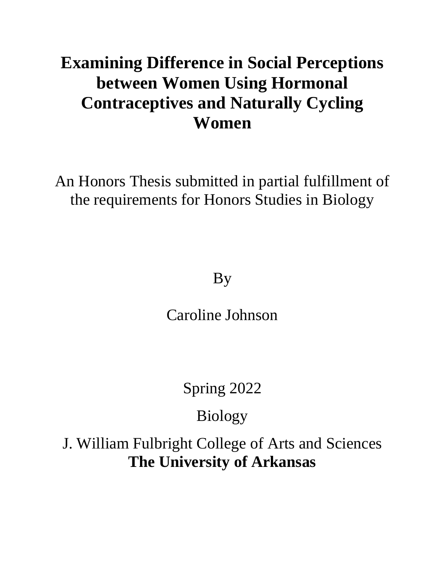# **Examining Difference in Social Perceptions between Women Using Hormonal Contraceptives and Naturally Cycling Women**

An Honors Thesis submitted in partial fulfillment of the requirements for Honors Studies in Biology

By

Caroline Johnson

Spring 2022

Biology

J. William Fulbright College of Arts and Sciences **The University of Arkansas**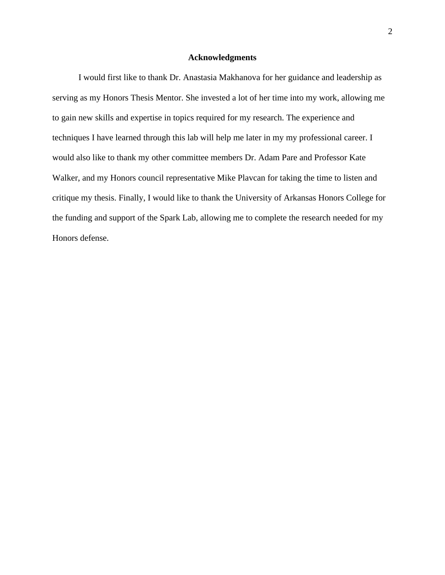#### **Acknowledgments**

<span id="page-2-0"></span>I would first like to thank Dr. Anastasia Makhanova for her guidance and leadership as serving as my Honors Thesis Mentor. She invested a lot of her time into my work, allowing me to gain new skills and expertise in topics required for my research. The experience and techniques I have learned through this lab will help me later in my my professional career. I would also like to thank my other committee members Dr. Adam Pare and Professor Kate Walker, and my Honors council representative Mike Plavcan for taking the time to listen and critique my thesis. Finally, I would like to thank the University of Arkansas Honors College for the funding and support of the Spark Lab, allowing me to complete the research needed for my Honors defense.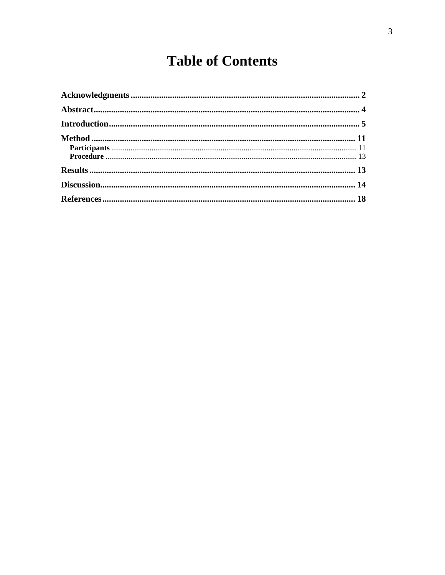## **Table of Contents**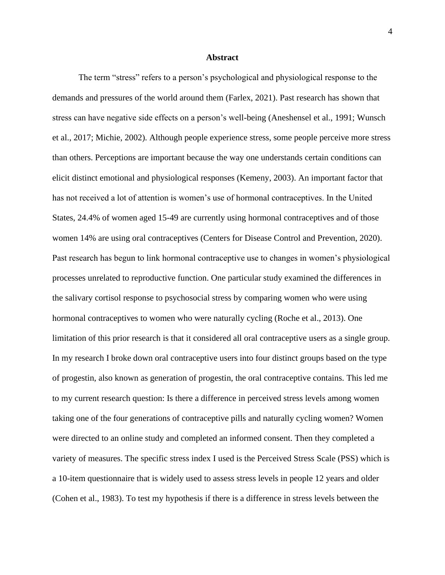#### **Abstract**

<span id="page-4-0"></span>The term "stress" refers to a person's psychological and physiological response to the demands and pressures of the world around them (Farlex, 2021). Past research has shown that stress can have negative side effects on a person's well-being (Aneshensel et al., 1991; Wunsch et al., 2017; Michie, 2002). Although people experience stress, some people perceive more stress than others. Perceptions are important because the way one understands certain conditions can elicit distinct emotional and physiological responses (Kemeny, 2003). An important factor that has not received a lot of attention is women's use of hormonal contraceptives. In the United States, 24.4% of women aged 15-49 are currently using hormonal contraceptives and of those women 14% are using oral contraceptives (Centers for Disease Control and Prevention, 2020). Past research has begun to link hormonal contraceptive use to changes in women's physiological processes unrelated to reproductive function. One particular study examined the differences in the salivary cortisol response to psychosocial stress by comparing women who were using hormonal contraceptives to women who were naturally cycling (Roche et al., 2013). One limitation of this prior research is that it considered all oral contraceptive users as a single group. In my research I broke down oral contraceptive users into four distinct groups based on the type of progestin, also known as generation of progestin, the oral contraceptive contains. This led me to my current research question: Is there a difference in perceived stress levels among women taking one of the four generations of contraceptive pills and naturally cycling women? Women were directed to an online study and completed an informed consent. Then they completed a variety of measures. The specific stress index I used is the Perceived Stress Scale (PSS) which is a 10-item questionnaire that is widely used to assess stress levels in people 12 years and older (Cohen et al., 1983). To test my hypothesis if there is a difference in stress levels between the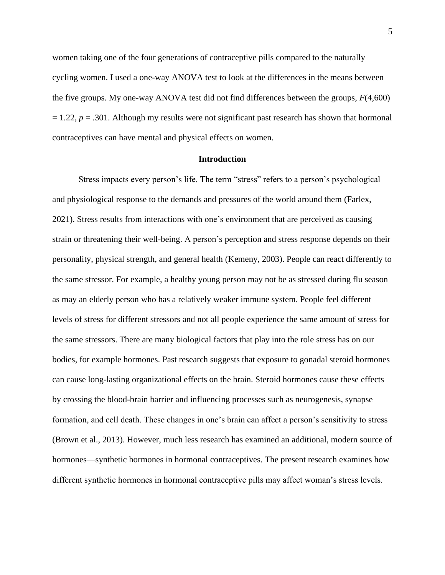women taking one of the four generations of contraceptive pills compared to the naturally cycling women. I used a one-way ANOVA test to look at the differences in the means between the five groups. My one-way ANOVA test did not find differences between the groups, *F*(4,600)  $= 1.22$ ,  $p = .301$ . Although my results were not significant past research has shown that hormonal contraceptives can have mental and physical effects on women.

#### **Introduction**

<span id="page-5-0"></span>Stress impacts every person's life. The term "stress" refers to a person's psychological and physiological response to the demands and pressures of the world around them (Farlex, 2021). Stress results from interactions with one's environment that are perceived as causing strain or threatening their well-being. A person's perception and stress response depends on their personality, physical strength, and general health (Kemeny, 2003). People can react differently to the same stressor. For example, a healthy young person may not be as stressed during flu season as may an elderly person who has a relatively weaker immune system. People feel different levels of stress for different stressors and not all people experience the same amount of stress for the same stressors. There are many biological factors that play into the role stress has on our bodies, for example hormones. Past research suggests that exposure to gonadal steroid hormones can cause long-lasting organizational effects on the brain. Steroid hormones cause these effects by crossing the blood-brain barrier and influencing processes such as neurogenesis, synapse formation, and cell death. These changes in one's brain can affect a person's sensitivity to stress (Brown et al., 2013). However, much less research has examined an additional, modern source of hormones—synthetic hormones in hormonal contraceptives. The present research examines how different synthetic hormones in hormonal contraceptive pills may affect woman's stress levels.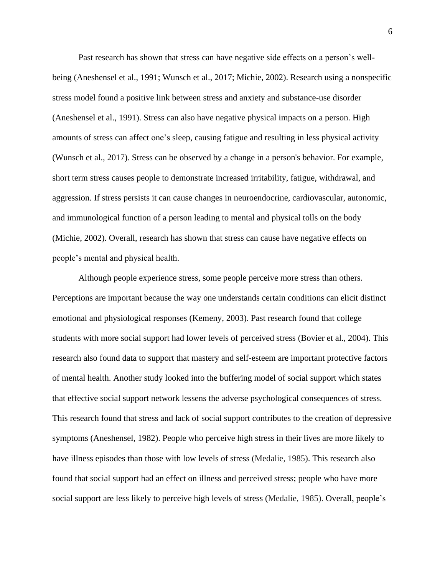Past research has shown that stress can have negative side effects on a person's wellbeing (Aneshensel et al., 1991; Wunsch et al., 2017; Michie, 2002). Research using a nonspecific stress model found a positive link between stress and anxiety and substance-use disorder (Aneshensel et al., 1991). Stress can also have negative physical impacts on a person. High amounts of stress can affect one's sleep, causing fatigue and resulting in less physical activity (Wunsch et al., 2017). Stress can be observed by a change in a person's behavior. For example, short term stress causes people to demonstrate increased irritability, fatigue, withdrawal, and aggression. If stress persists it can cause changes in neuroendocrine, cardiovascular, autonomic, and immunological function of a person leading to mental and physical tolls on the body (Michie, 2002). Overall, research has shown that stress can cause have negative effects on people's mental and physical health.

Although people experience stress, some people perceive more stress than others. Perceptions are important because the way one understands certain conditions can elicit distinct emotional and physiological responses (Kemeny, 2003). Past research found that college students with more social support had lower levels of perceived stress (Bovier et al., 2004). This research also found data to support that mastery and self-esteem are important protective factors of mental health. Another study looked into the buffering model of social support which states that effective social support network lessens the adverse psychological consequences of stress. This research found that stress and lack of social support contributes to the creation of depressive symptoms (Aneshensel, 1982). People who perceive high stress in their lives are more likely to have illness episodes than those with low levels of stress (Medalie, 1985). This research also found that social support had an effect on illness and perceived stress; people who have more social support are less likely to perceive high levels of stress (Medalie, 1985). Overall, people's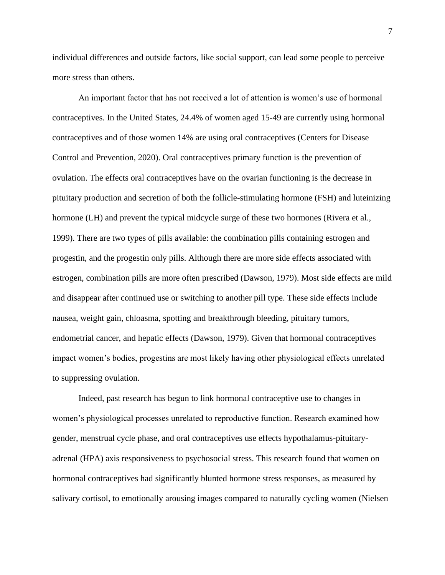individual differences and outside factors, like social support, can lead some people to perceive more stress than others.

An important factor that has not received a lot of attention is women's use of hormonal contraceptives. In the United States, 24.4% of women aged 15-49 are currently using hormonal contraceptives and of those women 14% are using oral contraceptives (Centers for Disease Control and Prevention, 2020). Oral contraceptives primary function is the prevention of ovulation. The effects oral contraceptives have on the ovarian functioning is the decrease in pituitary production and secretion of both the follicle-stimulating hormone (FSH) and luteinizing hormone (LH) and prevent the typical midcycle surge of these two hormones (Rivera et al., 1999). There are two types of pills available: the combination pills containing estrogen and progestin, and the progestin only pills. Although there are more side effects associated with estrogen, combination pills are more often prescribed (Dawson, 1979). Most side effects are mild and disappear after continued use or switching to another pill type. These side effects include nausea, weight gain, chloasma, spotting and breakthrough bleeding, pituitary tumors, endometrial cancer, and hepatic effects (Dawson, 1979). Given that hormonal contraceptives impact women's bodies, progestins are most likely having other physiological effects unrelated to suppressing ovulation.

Indeed, past research has begun to link hormonal contraceptive use to changes in women's physiological processes unrelated to reproductive function. Research examined how gender, menstrual cycle phase, and oral contraceptives use effects hypothalamus-pituitaryadrenal (HPA) axis responsiveness to psychosocial stress. This research found that women on hormonal contraceptives had significantly blunted hormone stress responses, as measured by salivary cortisol, to emotionally arousing images compared to naturally cycling women (Nielsen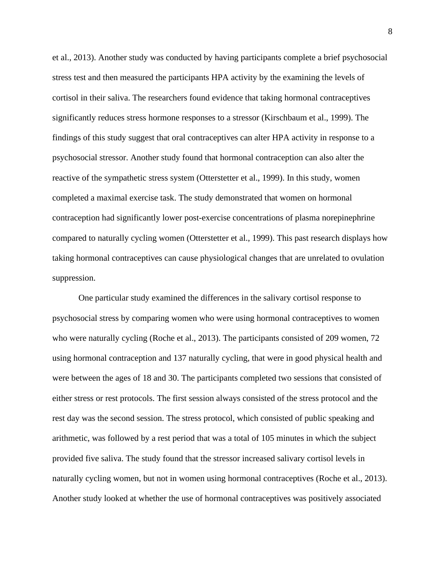et al., 2013). Another study was conducted by having participants complete a brief psychosocial stress test and then measured the participants HPA activity by the examining the levels of cortisol in their saliva. The researchers found evidence that taking hormonal contraceptives significantly reduces stress hormone responses to a stressor (Kirschbaum et al., 1999). The findings of this study suggest that oral contraceptives can alter HPA activity in response to a psychosocial stressor. Another study found that hormonal contraception can also alter the reactive of the sympathetic stress system (Otterstetter et al., 1999). In this study, women completed a maximal exercise task. The study demonstrated that women on hormonal contraception had significantly lower post-exercise concentrations of plasma norepinephrine compared to naturally cycling women (Otterstetter et al., 1999). This past research displays how taking hormonal contraceptives can cause physiological changes that are unrelated to ovulation suppression.

One particular study examined the differences in the salivary cortisol response to psychosocial stress by comparing women who were using hormonal contraceptives to women who were naturally cycling (Roche et al., 2013). The participants consisted of 209 women, 72 using hormonal contraception and 137 naturally cycling, that were in good physical health and were between the ages of 18 and 30. The participants completed two sessions that consisted of either stress or rest protocols. The first session always consisted of the stress protocol and the rest day was the second session. The stress protocol, which consisted of public speaking and arithmetic, was followed by a rest period that was a total of 105 minutes in which the subject provided five saliva. The study found that the stressor increased salivary cortisol levels in naturally cycling women, but not in women using hormonal contraceptives (Roche et al., 2013). Another study looked at whether the use of hormonal contraceptives was positively associated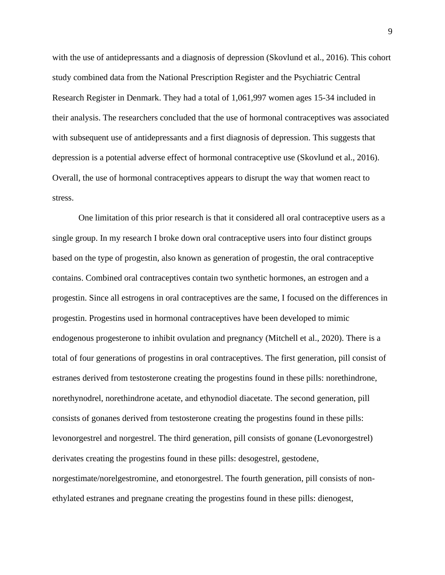with the use of antidepressants and a diagnosis of depression (Skovlund et al., 2016). This cohort study combined data from the National Prescription Register and the Psychiatric Central Research Register in Denmark. They had a total of 1,061,997 women ages 15-34 included in their analysis. The researchers concluded that the use of hormonal contraceptives was associated with subsequent use of antidepressants and a first diagnosis of depression. This suggests that depression is a potential adverse effect of hormonal contraceptive use (Skovlund et al., 2016). Overall, the use of hormonal contraceptives appears to disrupt the way that women react to stress.

One limitation of this prior research is that it considered all oral contraceptive users as a single group. In my research I broke down oral contraceptive users into four distinct groups based on the type of progestin, also known as generation of progestin, the oral contraceptive contains. Combined oral contraceptives contain two synthetic hormones, an estrogen and a progestin. Since all estrogens in oral contraceptives are the same, I focused on the differences in progestin. Progestins used in hormonal contraceptives have been developed to mimic endogenous progesterone to inhibit ovulation and pregnancy (Mitchell et al., 2020). There is a total of four generations of progestins in oral contraceptives. The first generation, pill consist of estranes derived from testosterone creating the progestins found in these pills: norethindrone, norethynodrel, norethindrone acetate, and ethynodiol diacetate. The second generation, pill consists of gonanes derived from testosterone creating the progestins found in these pills: levonorgestrel and norgestrel. The third generation, pill consists of gonane (Levonorgestrel) derivates creating the progestins found in these pills: desogestrel, gestodene, norgestimate/norelgestromine, and etonorgestrel. The fourth generation, pill consists of nonethylated estranes and pregnane creating the progestins found in these pills: dienogest,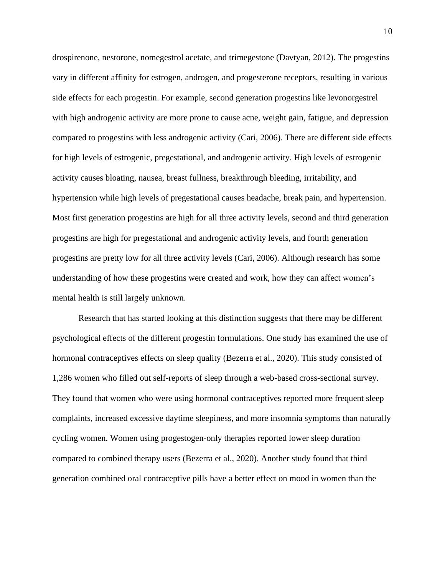drospirenone, nestorone, nomegestrol acetate, and trimegestone (Davtyan, 2012). The progestins vary in different affinity for estrogen, androgen, and progesterone receptors, resulting in various side effects for each progestin. For example, second generation progestins like levonorgestrel with high androgenic activity are more prone to cause acne, weight gain, fatigue, and depression compared to progestins with less androgenic activity (Cari, 2006). There are different side effects for high levels of estrogenic, pregestational, and androgenic activity. High levels of estrogenic activity causes bloating, nausea, breast fullness, breakthrough bleeding, irritability, and hypertension while high levels of pregestational causes headache, break pain, and hypertension. Most first generation progestins are high for all three activity levels, second and third generation progestins are high for pregestational and androgenic activity levels, and fourth generation progestins are pretty low for all three activity levels (Cari, 2006). Although research has some understanding of how these progestins were created and work, how they can affect women's mental health is still largely unknown.

Research that has started looking at this distinction suggests that there may be different psychological effects of the different progestin formulations. One study has examined the use of hormonal contraceptives effects on sleep quality (Bezerra et al., 2020). This study consisted of 1,286 women who filled out self-reports of sleep through a web-based cross-sectional survey. They found that women who were using hormonal contraceptives reported more frequent sleep complaints, increased excessive daytime sleepiness, and more insomnia symptoms than naturally cycling women. Women using progestogen-only therapies reported lower sleep duration compared to combined therapy users (Bezerra et al., 2020). Another study found that third generation combined oral contraceptive pills have a better effect on mood in women than the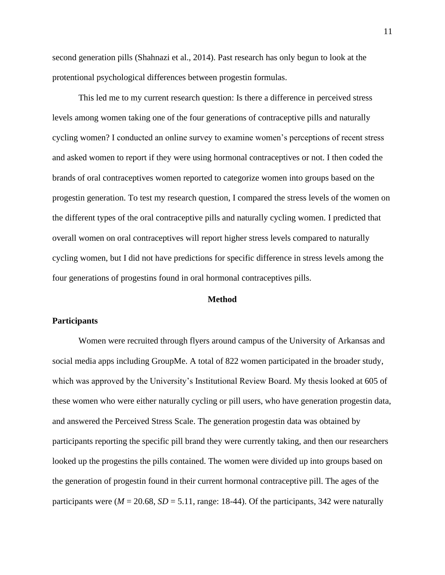second generation pills (Shahnazi et al., 2014). Past research has only begun to look at the protentional psychological differences between progestin formulas.

This led me to my current research question: Is there a difference in perceived stress levels among women taking one of the four generations of contraceptive pills and naturally cycling women? I conducted an online survey to examine women's perceptions of recent stress and asked women to report if they were using hormonal contraceptives or not. I then coded the brands of oral contraceptives women reported to categorize women into groups based on the progestin generation. To test my research question, I compared the stress levels of the women on the different types of the oral contraceptive pills and naturally cycling women. I predicted that overall women on oral contraceptives will report higher stress levels compared to naturally cycling women, but I did not have predictions for specific difference in stress levels among the four generations of progestins found in oral hormonal contraceptives pills.

#### **Method**

#### <span id="page-11-1"></span><span id="page-11-0"></span>**Participants**

Women were recruited through flyers around campus of the University of Arkansas and social media apps including GroupMe. A total of 822 women participated in the broader study, which was approved by the University's Institutional Review Board. My thesis looked at 605 of these women who were either naturally cycling or pill users, who have generation progestin data, and answered the Perceived Stress Scale. The generation progestin data was obtained by participants reporting the specific pill brand they were currently taking, and then our researchers looked up the progestins the pills contained. The women were divided up into groups based on the generation of progestin found in their current hormonal contraceptive pill. The ages of the participants were ( $M = 20.68$ ,  $SD = 5.11$ , range: 18-44). Of the participants, 342 were naturally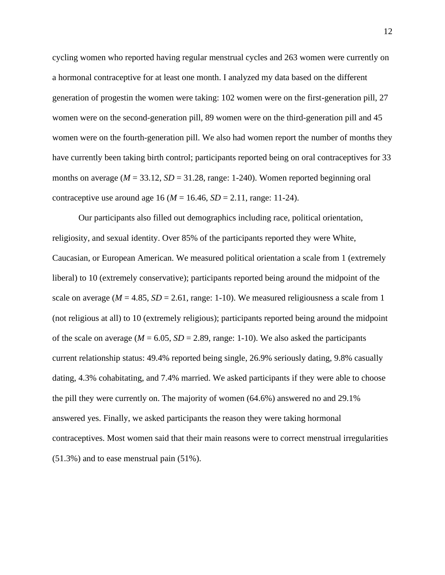cycling women who reported having regular menstrual cycles and 263 women were currently on a hormonal contraceptive for at least one month. I analyzed my data based on the different generation of progestin the women were taking: 102 women were on the first-generation pill, 27 women were on the second-generation pill, 89 women were on the third-generation pill and 45 women were on the fourth-generation pill. We also had women report the number of months they have currently been taking birth control; participants reported being on oral contraceptives for 33 months on average ( $M = 33.12$ ,  $SD = 31.28$ , range: 1-240). Women reported beginning oral contraceptive use around age 16 ( $M = 16.46$ ,  $SD = 2.11$ , range: 11-24).

Our participants also filled out demographics including race, political orientation, religiosity, and sexual identity. Over 85% of the participants reported they were White, Caucasian, or European American. We measured political orientation a scale from 1 (extremely liberal) to 10 (extremely conservative); participants reported being around the midpoint of the scale on average ( $M = 4.85$ ,  $SD = 2.61$ , range: 1-10). We measured religiousness a scale from 1 (not religious at all) to 10 (extremely religious); participants reported being around the midpoint of the scale on average ( $M = 6.05$ ,  $SD = 2.89$ , range: 1-10). We also asked the participants current relationship status: 49.4% reported being single, 26.9% seriously dating, 9.8% casually dating, 4.3% cohabitating, and 7.4% married. We asked participants if they were able to choose the pill they were currently on. The majority of women (64.6%) answered no and 29.1% answered yes. Finally, we asked participants the reason they were taking hormonal contraceptives. Most women said that their main reasons were to correct menstrual irregularities (51.3%) and to ease menstrual pain (51%).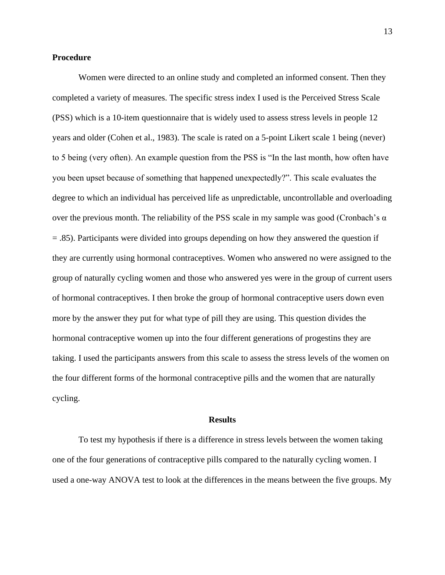#### <span id="page-13-0"></span>**Procedure**

Women were directed to an online study and completed an informed consent. Then they completed a variety of measures. The specific stress index I used is the Perceived Stress Scale (PSS) which is a 10-item questionnaire that is widely used to assess stress levels in people 12 years and older (Cohen et al., 1983). The scale is rated on a 5-point Likert scale 1 being (never) to 5 being (very often). An example question from the PSS is "In the last month, how often have you been upset because of something that happened unexpectedly?". This scale evaluates the degree to which an individual has perceived life as unpredictable, uncontrollable and overloading over the previous month. The reliability of the PSS scale in my sample was good (Cronbach's  $\alpha$ ) = .85). Participants were divided into groups depending on how they answered the question if they are currently using hormonal contraceptives. Women who answered no were assigned to the group of naturally cycling women and those who answered yes were in the group of current users of hormonal contraceptives. I then broke the group of hormonal contraceptive users down even more by the answer they put for what type of pill they are using. This question divides the hormonal contraceptive women up into the four different generations of progestins they are taking. I used the participants answers from this scale to assess the stress levels of the women on the four different forms of the hormonal contraceptive pills and the women that are naturally cycling.

#### **Results**

<span id="page-13-1"></span>To test my hypothesis if there is a difference in stress levels between the women taking one of the four generations of contraceptive pills compared to the naturally cycling women. I used a one-way ANOVA test to look at the differences in the means between the five groups. My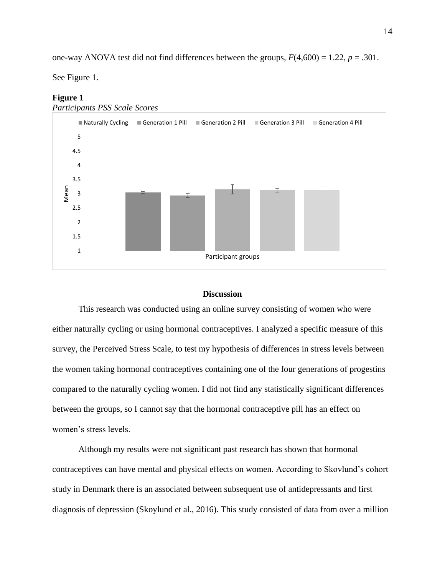one-way ANOVA test did not find differences between the groups,  $F(4,600) = 1.22$ ,  $p = .301$ .

See Figure 1.

#### **Figure 1**



#### **Discussion**

<span id="page-14-0"></span>This research was conducted using an online survey consisting of women who were either naturally cycling or using hormonal contraceptives. I analyzed a specific measure of this survey, the Perceived Stress Scale, to test my hypothesis of differences in stress levels between the women taking hormonal contraceptives containing one of the four generations of progestins compared to the naturally cycling women. I did not find any statistically significant differences between the groups, so I cannot say that the hormonal contraceptive pill has an effect on women's stress levels.

Although my results were not significant past research has shown that hormonal contraceptives can have mental and physical effects on women. According to Skovlund's cohort study in Denmark there is an associated between subsequent use of antidepressants and first diagnosis of depression (Skoylund et al., 2016). This study consisted of data from over a million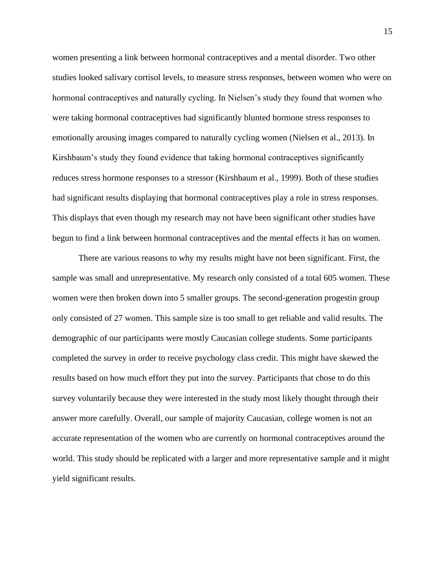women presenting a link between hormonal contraceptives and a mental disorder. Two other studies looked salivary cortisol levels, to measure stress responses, between women who were on hormonal contraceptives and naturally cycling. In Nielsen's study they found that women who were taking hormonal contraceptives had significantly blunted hormone stress responses to emotionally arousing images compared to naturally cycling women (Nielsen et al., 2013). In Kirshbaum's study they found evidence that taking hormonal contraceptives significantly reduces stress hormone responses to a stressor (Kirshbaum et al., 1999). Both of these studies had significant results displaying that hormonal contraceptives play a role in stress responses. This displays that even though my research may not have been significant other studies have begun to find a link between hormonal contraceptives and the mental effects it has on women.

There are various reasons to why my results might have not been significant. First, the sample was small and unrepresentative. My research only consisted of a total 605 women. These women were then broken down into 5 smaller groups. The second-generation progestin group only consisted of 27 women. This sample size is too small to get reliable and valid results. The demographic of our participants were mostly Caucasian college students. Some participants completed the survey in order to receive psychology class credit. This might have skewed the results based on how much effort they put into the survey. Participants that chose to do this survey voluntarily because they were interested in the study most likely thought through their answer more carefully. Overall, our sample of majority Caucasian, college women is not an accurate representation of the women who are currently on hormonal contraceptives around the world. This study should be replicated with a larger and more representative sample and it might yield significant results.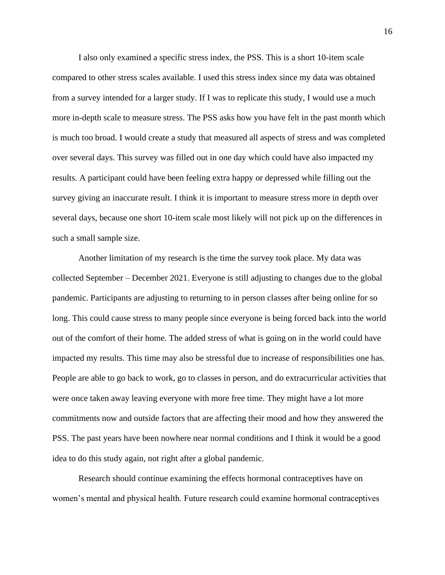I also only examined a specific stress index, the PSS. This is a short 10-item scale compared to other stress scales available. I used this stress index since my data was obtained from a survey intended for a larger study. If I was to replicate this study, I would use a much more in-depth scale to measure stress. The PSS asks how you have felt in the past month which is much too broad. I would create a study that measured all aspects of stress and was completed over several days. This survey was filled out in one day which could have also impacted my results. A participant could have been feeling extra happy or depressed while filling out the survey giving an inaccurate result. I think it is important to measure stress more in depth over several days, because one short 10-item scale most likely will not pick up on the differences in such a small sample size.

Another limitation of my research is the time the survey took place. My data was collected September – December 2021. Everyone is still adjusting to changes due to the global pandemic. Participants are adjusting to returning to in person classes after being online for so long. This could cause stress to many people since everyone is being forced back into the world out of the comfort of their home. The added stress of what is going on in the world could have impacted my results. This time may also be stressful due to increase of responsibilities one has. People are able to go back to work, go to classes in person, and do extracurricular activities that were once taken away leaving everyone with more free time. They might have a lot more commitments now and outside factors that are affecting their mood and how they answered the PSS. The past years have been nowhere near normal conditions and I think it would be a good idea to do this study again, not right after a global pandemic.

Research should continue examining the effects hormonal contraceptives have on women's mental and physical health. Future research could examine hormonal contraceptives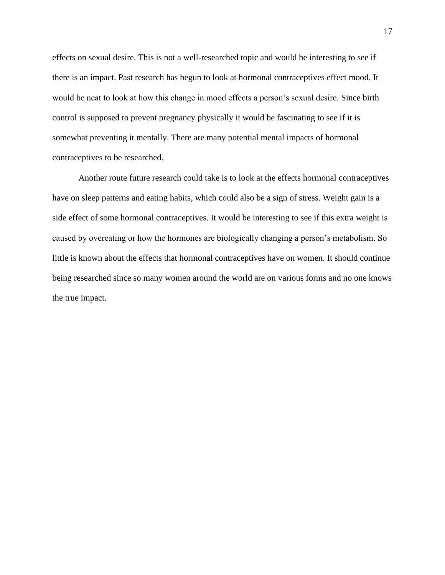effects on sexual desire. This is not a well-researched topic and would be interesting to see if there is an impact. Past research has begun to look at hormonal contraceptives effect mood. It would be neat to look at how this change in mood effects a person's sexual desire. Since birth control is supposed to prevent pregnancy physically it would be fascinating to see if it is somewhat preventing it mentally. There are many potential mental impacts of hormonal contraceptives to be researched.

Another route future research could take is to look at the effects hormonal contraceptives have on sleep patterns and eating habits, which could also be a sign of stress. Weight gain is a side effect of some hormonal contraceptives. It would be interesting to see if this extra weight is caused by overeating or how the hormones are biologically changing a person's metabolism. So little is known about the effects that hormonal contraceptives have on women. It should continue being researched since so many women around the world are on various forms and no one knows the true impact.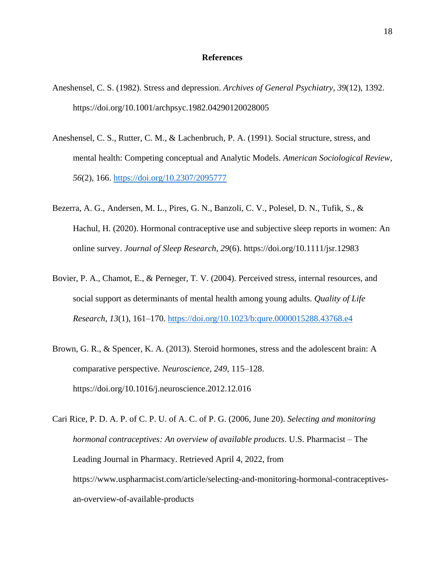#### **References**

- <span id="page-18-0"></span>Aneshensel, C. S. (1982). Stress and depression. *Archives of General Psychiatry*, *39*(12), 1392. https://doi.org/10.1001/archpsyc.1982.04290120028005
- Aneshensel, C. S., Rutter, C. M., & Lachenbruch, P. A. (1991). Social structure, stress, and mental health: Competing conceptual and Analytic Models. *American Sociological Review*, *56*(2), 166.<https://doi.org/10.2307/2095777>
- Bezerra, A. G., Andersen, M. L., Pires, G. N., Banzoli, C. V., Polesel, D. N., Tufik, S., & Hachul, H. (2020). Hormonal contraceptive use and subjective sleep reports in women: An online survey. *Journal of Sleep Research*, *29*(6). https://doi.org/10.1111/jsr.12983
- Bovier, P. A., Chamot, E., & Perneger, T. V. (2004). Perceived stress, internal resources, and social support as determinants of mental health among young adults. *Quality of Life Research*, *13*(1), 161–170.<https://doi.org/10.1023/b:qure.0000015288.43768.e4>
- Brown, G. R., & Spencer, K. A. (2013). Steroid hormones, stress and the adolescent brain: A comparative perspective. *Neuroscience*, *249*, 115–128. https://doi.org/10.1016/j.neuroscience.2012.12.016
- Cari Rice, P. D. A. P. of C. P. U. of A. C. of P. G. (2006, June 20). *Selecting and monitoring hormonal contraceptives: An overview of available products*. U.S. Pharmacist – The Leading Journal in Pharmacy. Retrieved April 4, 2022, from https://www.uspharmacist.com/article/selecting-and-monitoring-hormonal-contraceptivesan-overview-of-available-products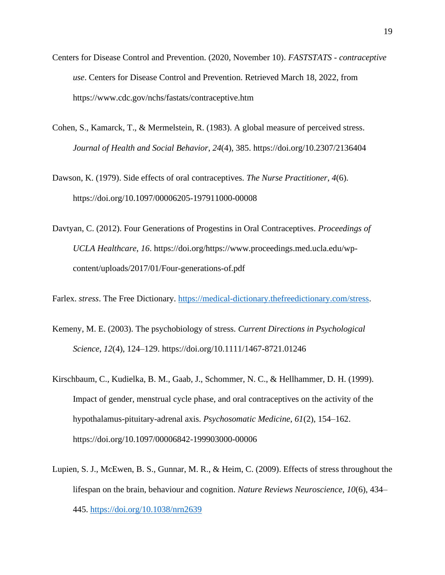- Centers for Disease Control and Prevention. (2020, November 10). *FASTSTATS - contraceptive use*. Centers for Disease Control and Prevention. Retrieved March 18, 2022, from https://www.cdc.gov/nchs/fastats/contraceptive.htm
- Cohen, S., Kamarck, T., & Mermelstein, R. (1983). A global measure of perceived stress. *Journal of Health and Social Behavior*, *24*(4), 385. https://doi.org/10.2307/2136404

Dawson, K. (1979). Side effects of oral contraceptives. *The Nurse Practitioner*, *4*(6). https://doi.org/10.1097/00006205-197911000-00008

Davtyan, C. (2012). Four Generations of Progestins in Oral Contraceptives. *Proceedings of UCLA Healthcare*, *16*. https://doi.org/https://www.proceedings.med.ucla.edu/wpcontent/uploads/2017/01/Four-generations-of.pdf

Farlex. *stress*. The Free Dictionary. [https://medical-dictionary.thefreedictionary.com/stress.](https://medical-dictionary.thefreedictionary.com/stress)

- Kemeny, M. E. (2003). The psychobiology of stress. *Current Directions in Psychological Science*, *12*(4), 124–129. https://doi.org/10.1111/1467-8721.01246
- Kirschbaum, C., Kudielka, B. M., Gaab, J., Schommer, N. C., & Hellhammer, D. H. (1999). Impact of gender, menstrual cycle phase, and oral contraceptives on the activity of the hypothalamus-pituitary-adrenal axis. *Psychosomatic Medicine*, *61*(2), 154–162. https://doi.org/10.1097/00006842-199903000-00006
- Lupien, S. J., McEwen, B. S., Gunnar, M. R., & Heim, C. (2009). Effects of stress throughout the lifespan on the brain, behaviour and cognition. *Nature Reviews Neuroscience*, *10*(6), 434– 445.<https://doi.org/10.1038/nrn2639>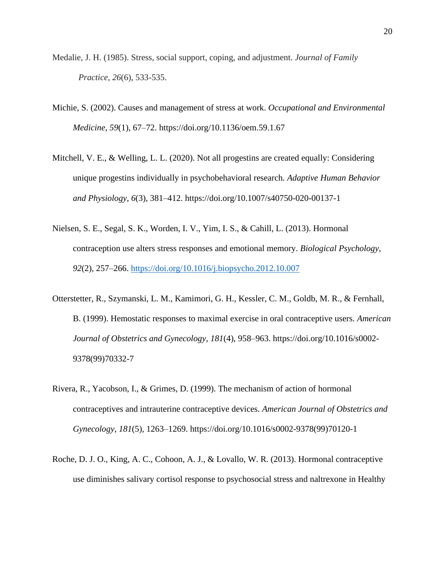- Medalie, J. H. (1985). Stress, social support, coping, and adjustment. *Journal of Family Practice*, *26*(6), 533-535.
- Michie, S. (2002). Causes and management of stress at work. *Occupational and Environmental Medicine*, *59*(1), 67–72. https://doi.org/10.1136/oem.59.1.67
- Mitchell, V. E., & Welling, L. L. (2020). Not all progestins are created equally: Considering unique progestins individually in psychobehavioral research. *Adaptive Human Behavior and Physiology*, *6*(3), 381–412. https://doi.org/10.1007/s40750-020-00137-1
- Nielsen, S. E., Segal, S. K., Worden, I. V., Yim, I. S., & Cahill, L. (2013). Hormonal contraception use alters stress responses and emotional memory. *Biological Psychology*, *92*(2), 257–266.<https://doi.org/10.1016/j.biopsycho.2012.10.007>
- Otterstetter, R., Szymanski, L. M., Kamimori, G. H., Kessler, C. M., Goldb, M. R., & Fernhall, B. (1999). Hemostatic responses to maximal exercise in oral contraceptive users. *American Journal of Obstetrics and Gynecology*, *181*(4), 958–963. https://doi.org/10.1016/s0002- 9378(99)70332-7
- Rivera, R., Yacobson, I., & Grimes, D. (1999). The mechanism of action of hormonal contraceptives and intrauterine contraceptive devices. *American Journal of Obstetrics and Gynecology*, *181*(5), 1263–1269. https://doi.org/10.1016/s0002-9378(99)70120-1
- Roche, D. J. O., King, A. C., Cohoon, A. J., & Lovallo, W. R. (2013). Hormonal contraceptive use diminishes salivary cortisol response to psychosocial stress and naltrexone in Healthy